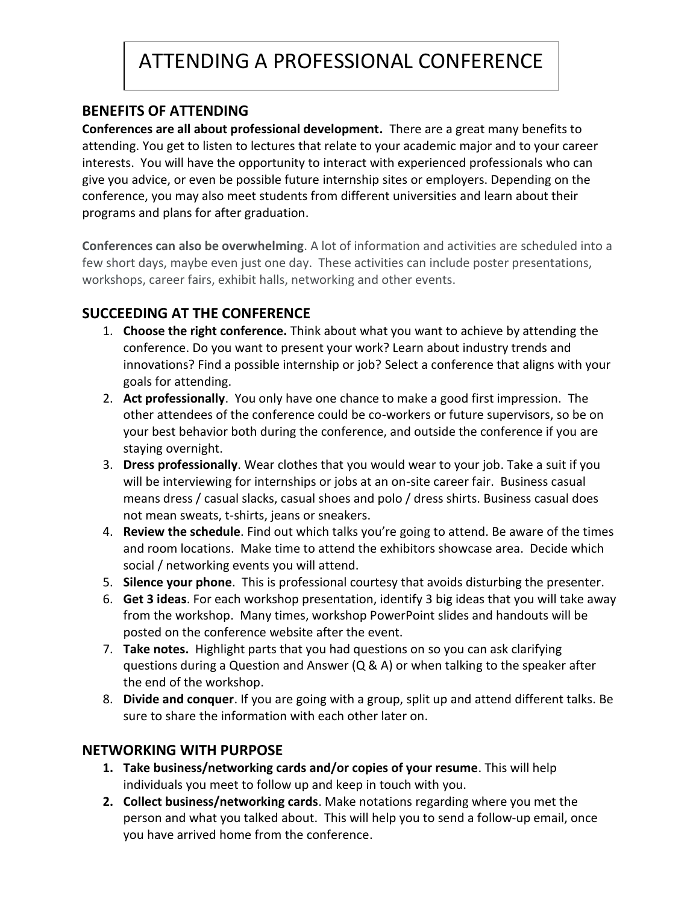# ATTENDING A PROFESSIONAL CONFERENCE

#### **BENEFITS OF ATTENDING**

**Conferences are all about professional development.** There are a great many benefits to attending. You get to listen to lectures that relate to your academic major and to your career interests. You will have the opportunity to interact with experienced professionals who can give you advice, or even be possible future internship sites or employers. Depending on the conference, you may also meet students from different universities and learn about their programs and plans for after graduation.

**Conferences can also be overwhelming**. A lot of information and activities are scheduled into a few short days, maybe even just one day. These activities can include poster presentations, workshops, career fairs, exhibit halls, networking and other events.

## **SUCCEEDING AT THE CONFERENCE**

- 1. **Choose the right conference.** Think about what you want to achieve by attending the conference. Do you want to present your work? Learn about industry trends and innovations? Find a possible internship or job? Select a conference that aligns with your goals for attending.
- 2. **Act professionally**. You only have one chance to make a good first impression. The other attendees of the conference could be co-workers or future supervisors, so be on your best behavior both during the conference, and outside the conference if you are staying overnight.
- 3. **Dress professionally**. Wear clothes that you would wear to your job. Take a suit if you will be interviewing for internships or jobs at an on-site career fair. Business casual means dress / casual slacks, casual shoes and polo / dress shirts. Business casual does not mean sweats, t-shirts, jeans or sneakers.
- 4. **Review the schedule**. Find out which talks you're going to attend. Be aware of the times and room locations. Make time to attend the exhibitors showcase area. Decide which social / networking events you will attend.
- 5. **Silence your phone**. This is professional courtesy that avoids disturbing the presenter.
- 6. **Get 3 ideas**. For each workshop presentation, identify 3 big ideas that you will take away from the workshop. Many times, workshop PowerPoint slides and handouts will be posted on the conference website after the event.
- 7. **Take notes.** Highlight parts that you had questions on so you can ask clarifying questions during a Question and Answer (Q & A) or when talking to the speaker after the end of the workshop.
- 8. **Divide and conquer**. If you are going with a group, split up and attend different talks. Be sure to share the information with each other later on.

## **NETWORKING WITH PURPOSE**

- **1. Take business/networking cards and/or copies of your resume**. This will help individuals you meet to follow up and keep in touch with you.
- **2. Collect business/networking cards**. Make notations regarding where you met the person and what you talked about. This will help you to send a follow-up email, once you have arrived home from the conference.